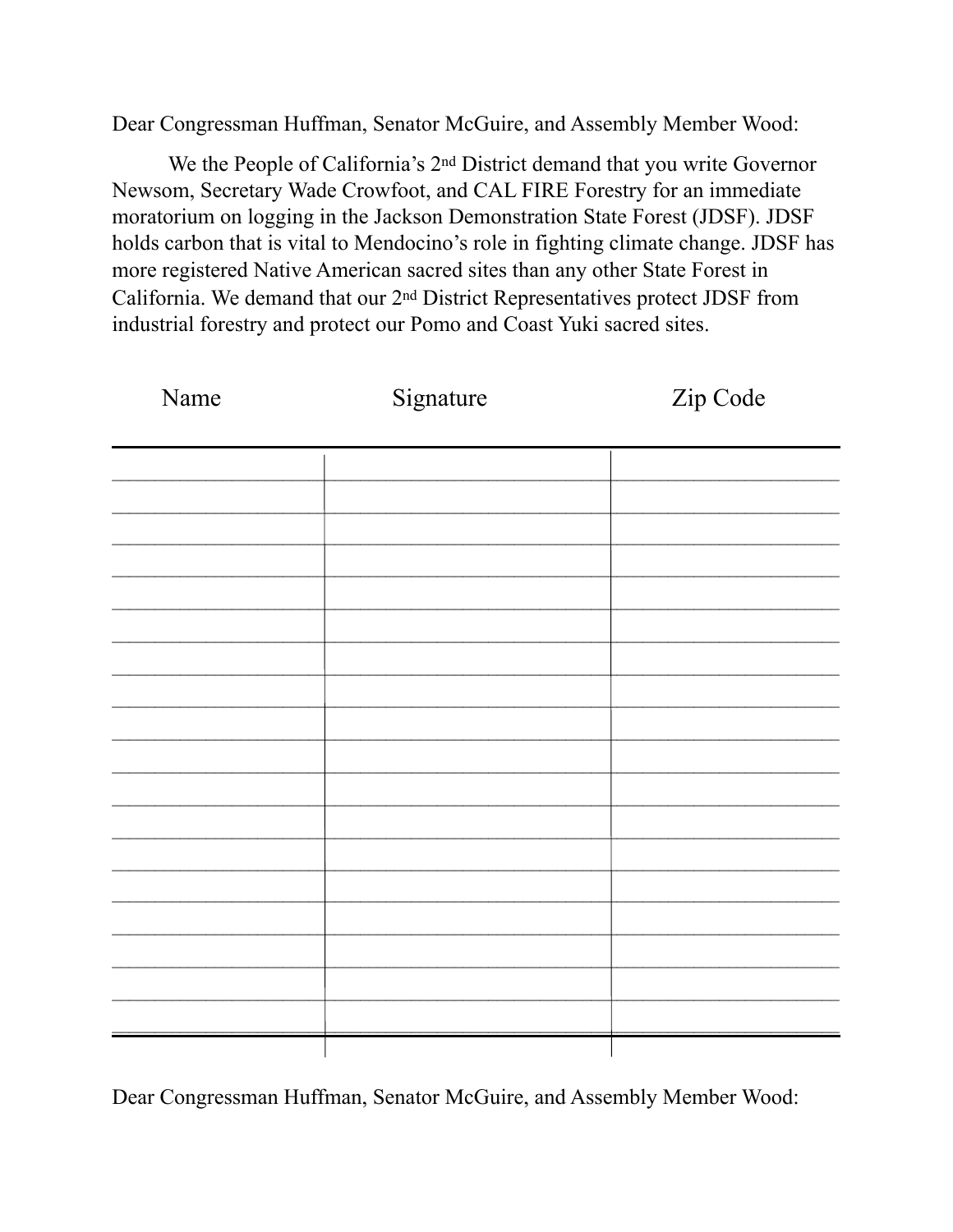Dear Congressman Huffman, Senator McGuire, and Assembly Member Wood:

We the People of California's 2<sup>nd</sup> District demand that you write Governor Newsom, Secretary Wade Crowfoot, and CAL FIRE Forestry for an immediate moratorium on logging in the Jackson Demonstration State Forest (JDSF). JDSF holds carbon that is vital to Mendocino's role in fighting climate change. JDSF has more registered Native American sacred sites than any other State Forest in California. We demand that our 2<sup>nd</sup> District Representatives protect JDSF from industrial forestry and protect our Pomo and Coast Yuki sacred sites.

| Name | Signature | Zip Code |
|------|-----------|----------|
|      |           |          |
|      |           |          |
|      |           |          |
|      |           |          |
|      |           |          |
|      |           |          |
|      |           |          |
|      |           |          |
|      |           |          |
|      |           |          |
|      |           |          |
|      |           |          |
|      |           |          |
|      |           |          |
|      |           |          |
|      |           |          |
|      |           |          |
|      |           |          |
|      |           |          |
|      |           |          |

Dear Congressman Huffman, Senator McGuire, and Assembly Member Wood: